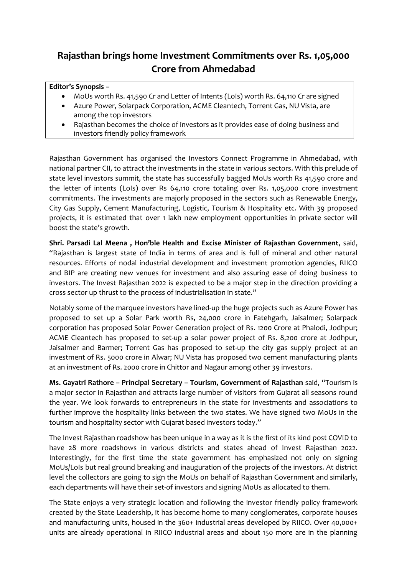## **Rajasthan brings home Investment Commitments over Rs. 1,05,000 Crore from Ahmedabad**

## **Editor's Synopsis –**

- MoUs worth Rs. 41,590 Cr and Letter of Intents (LoIs) worth Rs. 64,110 Cr are signed
- Azure Power, Solarpack Corporation, ACME Cleantech, Torrent Gas, NU Vista, are among the top investors
- Rajasthan becomes the choice of investors as it provides ease of doing business and investors friendly policy framework

Rajasthan Government has organised the Investors Connect Programme in Ahmedabad, with national partner CII, to attract the investments in the state in various sectors. With this prelude of state level investors summit, the state has successfully bagged MoUs worth Rs 41,590 crore and the letter of intents (LoIs) over Rs 64,110 crore totaling over Rs. 1,05,000 crore investment commitments. The investments are majorly proposed in the sectors such as Renewable Energy, City Gas Supply, Cement Manufacturing, Logistic, Tourism & Hospitality etc. With 39 proposed projects, it is estimated that over 1 lakh new employment opportunities in private sector will boost the state's growth.

**Shri. Parsadi Lal Meena , Hon'ble Health and Excise Minister of Rajasthan Government**, said, "Rajasthan is largest state of India in terms of area and is full of mineral and other natural resources. Efforts of nodal industrial development and investment promotion agencies, RIICO and BIP are creating new venues for investment and also assuring ease of doing business to investors. The Invest Rajasthan 2022 is expected to be a major step in the direction providing a cross sector up thrust to the process of industrialisation in state."

Notably some of the marquee investors have lined-up the huge projects such as Azure Power has proposed to set up a Solar Park worth Rs, 24,000 crore in Fatehgarh, Jaisalmer; Solarpack corporation has proposed Solar Power Generation project of Rs. 1200 Crore at Phalodi, Jodhpur; ACME Cleantech has proposed to set-up a solar power project of Rs. 8,200 crore at Jodhpur, Jaisalmer and Barmer; Torrent Gas has proposed to set-up the city gas supply project at an investment of Rs. 5000 crore in Alwar; NU Vista has proposed two cement manufacturing plants at an investment of Rs. 2000 crore in Chittor and Nagaur among other 39 investors.

**Ms. Gayatri Rathore – Principal Secretary – Tourism, Government of Rajasthan** said, "Tourism is a major sector in Rajasthan and attracts large number of visitors from Gujarat all seasons round the year. We look forwards to entrepreneurs in the state for investments and associations to further improve the hospitality links between the two states. We have signed two MoUs in the tourism and hospitality sector with Gujarat based investors today."

The Invest Rajasthan roadshow has been unique in a way as it is the first of its kind post COVID to have 28 more roadshows in various districts and states ahead of Invest Rajasthan 2022. Interestingly, for the first time the state government has emphasized not only on signing MoUs/LoIs but real ground breaking and inauguration of the projects of the investors. At district level the collectors are going to sign the MoUs on behalf of Rajasthan Government and similarly, each departments will have their set-of investors and signing MoUs as allocated to them.

The State enjoys a very strategic location and following the investor friendly policy framework created by the State Leadership, it has become home to many conglomerates, corporate houses and manufacturing units, housed in the 360+ industrial areas developed by RIICO. Over 40,000+ units are already operational in RIICO industrial areas and about 150 more are in the planning